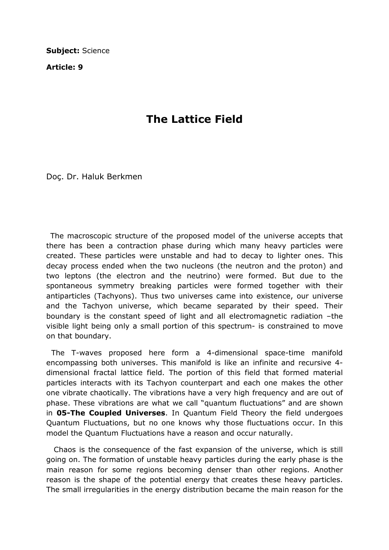Subject: Science

Article: 9

## The Lattice Field

Doç. Dr. Haluk Berkmen

 The macroscopic structure of the proposed model of the universe accepts that there has been a contraction phase during which many heavy particles were created. These particles were unstable and had to decay to lighter ones. This decay process ended when the two nucleons (the neutron and the proton) and two leptons (the electron and the neutrino) were formed. But due to the spontaneous symmetry breaking particles were formed together with their antiparticles (Tachyons). Thus two universes came into existence, our universe and the Tachyon universe, which became separated by their speed. Their boundary is the constant speed of light and all electromagnetic radiation –the visible light being only a small portion of this spectrum- is constrained to move on that boundary.

 The T-waves proposed here form a 4-dimensional space-time manifold encompassing both universes. This manifold is like an infinite and recursive 4 dimensional fractal lattice field. The portion of this field that formed material particles interacts with its Tachyon counterpart and each one makes the other one vibrate chaotically. The vibrations have a very high frequency and are out of phase. These vibrations are what we call "quantum fluctuations" and are shown in 05-The Coupled Universes. In Quantum Field Theory the field undergoes Quantum Fluctuations, but no one knows why those fluctuations occur. In this model the Quantum Fluctuations have a reason and occur naturally.

 Chaos is the consequence of the fast expansion of the universe, which is still going on. The formation of unstable heavy particles during the early phase is the main reason for some regions becoming denser than other regions. Another reason is the shape of the potential energy that creates these heavy particles. The small irregularities in the energy distribution became the main reason for the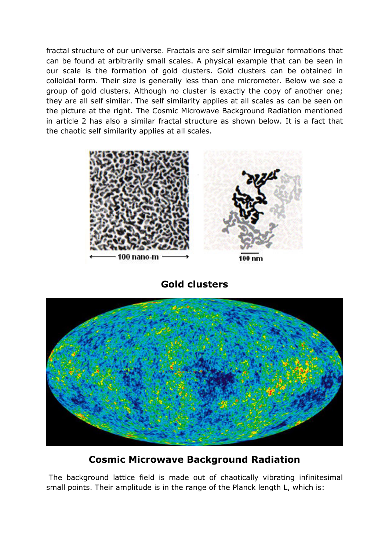fractal structure of our universe. Fractals are self similar irregular formations that can be found at arbitrarily small scales. A physical example that can be seen in our scale is the formation of gold clusters. Gold clusters can be obtained in colloidal form. Their size is generally less than one micrometer. Below we see a group of gold clusters. Although no cluster is exactly the copy of another one; they are all self similar. The self similarity applies at all scales as can be seen on the picture at the right. The Cosmic Microwave Background Radiation mentioned in article 2 has also a similar fractal structure as shown below. It is a fact that the chaotic self similarity applies at all scales.



Gold clusters



## Cosmic Microwave Background Radiation

 The background lattice field is made out of chaotically vibrating infinitesimal small points. Their amplitude is in the range of the Planck length L, which is: